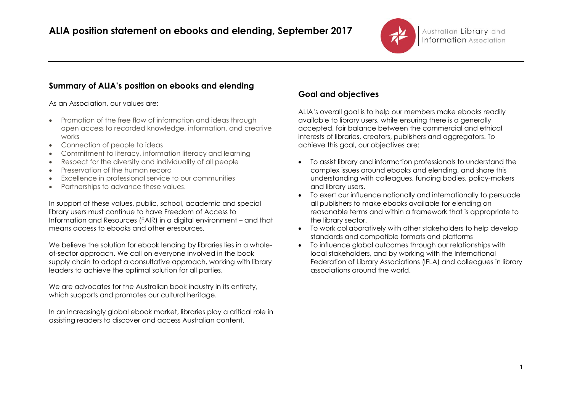

## **Summary of ALIA's position on ebooks and elending**

As an Association, our values are:

- Promotion of the free flow of information and ideas through open access to recorded knowledge, information, and creative works
- Connection of people to ideas
- Commitment to literacy, information literacy and learning
- Respect for the diversity and individuality of all people
- Preservation of the human record
- Excellence in professional service to our communities
- Partnerships to advance these values.

In support of these values, public, school, academic and special library users must continue to have Freedom of Access to Information and Resources (FAIR) in a digital environment – and that means access to ebooks and other eresources.

We believe the solution for ebook lending by libraries lies in a wholeof-sector approach. We call on everyone involved in the book supply chain to adopt a consultative approach, working with library leaders to achieve the optimal solution for all parties.

We are advocates for the Australian book industry in its entirety, which supports and promotes our cultural heritage.

In an increasingly global ebook market, libraries play a critical role in assisting readers to discover and access Australian content.

# **Goal and objectives**

ALIA's overall goal is to help our members make ebooks readily available to library users, while ensuring there is a generally accepted, fair balance between the commercial and ethical interests of libraries, creators, publishers and aggregators. To achieve this goal, our objectives are:

- To assist library and information professionals to understand the complex issues around ebooks and elending, and share this understanding with colleagues, funding bodies, policy-makers and library users.
- To exert our influence nationally and internationally to persuade all publishers to make ebooks available for elending on reasonable terms and within a framework that is appropriate to the library sector.
- To work collaboratively with other stakeholders to help develop standards and compatible formats and platforms
- To influence global outcomes through our relationships with local stakeholders, and by working with the International Federation of Library Associations (IFLA) and colleagues in library associations around the world.